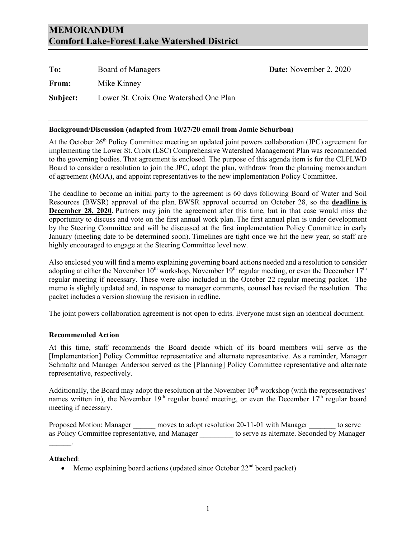## **MEMORANDUM Comfort Lake-Forest Lake Watershed District**

| To:      | Board of Managers                      |
|----------|----------------------------------------|
| From:    | Mike Kinney                            |
| Subject: | Lower St. Croix One Watershed One Plan |

### **Background/Discussion (adapted from 10/27/20 email from Jamie Schurbon)**

At the October 26<sup>th</sup> Policy Committee meeting an updated joint powers collaboration (JPC) agreement for implementing the Lower St. Croix (LSC) Comprehensive Watershed Management Plan was recommended to the governing bodies. That agreement is enclosed. The purpose of this agenda item is for the CLFLWD Board to consider a resolution to join the JPC, adopt the plan, withdraw from the planning memorandum of agreement (MOA), and appoint representatives to the new implementation Policy Committee.

**Date:** November 2, 2020

The deadline to become an initial party to the agreement is 60 days following Board of Water and Soil Resources (BWSR) approval of the plan. BWSR approval occurred on October 28, so the **deadline is December 28, 2020**. Partners may join the agreement after this time, but in that case would miss the opportunity to discuss and vote on the first annual work plan. The first annual plan is under development by the Steering Committee and will be discussed at the first implementation Policy Committee in early January (meeting date to be determined soon). Timelines are tight once we hit the new year, so staff are highly encouraged to engage at the Steering Committee level now.

Also enclosed you will find a memo explaining governing board actions needed and a resolution to consider adopting at either the November  $10^{th}$  workshop, November  $19^{th}$  regular meeting, or even the December  $17^{th}$ regular meeting if necessary. These were also included in the October 22 regular meeting packet. The memo is slightly updated and, in response to manager comments, counsel has revised the resolution. The packet includes a version showing the revision in redline.

The joint powers collaboration agreement is not open to edits. Everyone must sign an identical document.

### **Recommended Action**

At this time, staff recommends the Board decide which of its board members will serve as the [Implementation] Policy Committee representative and alternate representative. As a reminder, Manager Schmaltz and Manager Anderson served as the [Planning] Policy Committee representative and alternate representative, respectively.

Additionally, the Board may adopt the resolution at the November  $10<sup>th</sup>$  workshop (with the representatives' names written in), the November  $19<sup>th</sup>$  regular board meeting, or even the December  $17<sup>th</sup>$  regular board meeting if necessary.

Proposed Motion: Manager moves to adopt resolution 20-11-01 with Manager to serve as Policy Committee representative, and Manager to serve as alternate. Seconded by Manager

### **Attached**:

 $\mathcal{L}=\mathcal{L}$ 

• Memo explaining board actions (updated since October  $22<sup>nd</sup>$  board packet)